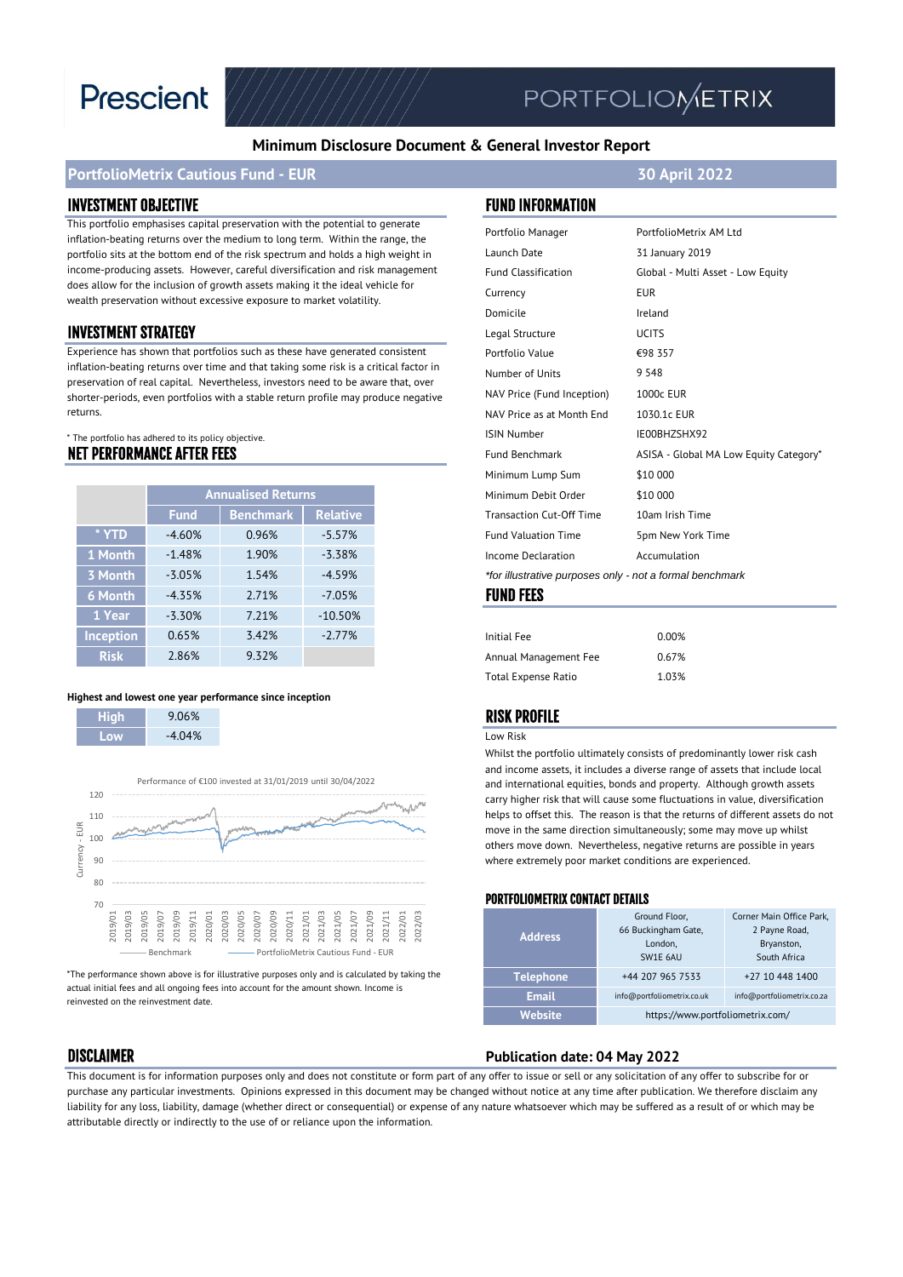

# PORTFOLIOMETRIX

#### **Minimum Disclosure Document & General Investor Report**

#### **PortfolioMetrix Cautious Fund - EUR 30 April 2022**

#### INVESTMENT OBJECTIVE FUND INFORMATION

This portfolio emphasises capital preservation with the potential to generate inflation-beating returns over the medium to long term. Within the range, the portfolio sits at the bottom end of the risk spectrum and holds a high weight in income-producing assets. However, careful diversification and risk management does allow for the inclusion of growth assets making it the ideal vehicle for wealth preservation without excessive exposure to market volatility.

#### **INVESTMENT STRATEGY**

Experience has shown that portfolios such as these have generated consistent inflation-beating returns over time and that taking some risk is a critical factor in preservation of real capital. Nevertheless, investors need to be aware that, over shorter-periods, even portfolios with a stable return profile may produce negative returns.

#### NET PERFORMANCE AFTER FEES \* The portfolio has adhered to its policy objective.

|                  | <b>Annualised Returns</b> |                  |                 |
|------------------|---------------------------|------------------|-----------------|
|                  | <b>Fund</b>               | <b>Benchmark</b> | <b>Relative</b> |
| * YTD            | $-4.60%$                  | 0.96%            | $-5.57%$        |
| 1 Month          | $-1.48%$                  | 1.90%            | $-3.38%$        |
| 3 Month          | $-3.05%$                  | 1.54%            | $-4.59%$        |
| <b>6 Month</b>   | $-4.35%$                  | 271%             | $-7.05%$        |
| 1 Year           | $-3.30%$                  | 7.21%            | $-10.50%$       |
| <b>Inception</b> | 0.65%                     | 3.42%            | $-2.77%$        |
| <b>Risk</b>      | 2.86%                     | 932%             |                 |

#### **Highest and lowest one year performance since inception**

| AB Tra | 9.06%    |
|--------|----------|
| nw     | $-4.04%$ |

I



\*The performance shown above is for illustrative purposes only and is calculated by taking the actual initial fees and all ongoing fees into account for the amount shown. Income is reinvested on the reinvestment date.

| Portfolio Manager                                        | PortfolioMetrix AM Ltd                 |  |  |  |
|----------------------------------------------------------|----------------------------------------|--|--|--|
| Launch Date                                              | 31 January 2019                        |  |  |  |
| <b>Fund Classification</b>                               | Global - Multi Asset - Low Equity      |  |  |  |
| Currency                                                 | <b>EUR</b>                             |  |  |  |
| Domicile                                                 | Ireland                                |  |  |  |
| Legal Structure                                          | <b>UCITS</b>                           |  |  |  |
| Portfolio Value                                          | €98 357                                |  |  |  |
| Number of Units                                          | 9 5 4 8                                |  |  |  |
| NAV Price (Fund Inception)                               | 1000c EUR                              |  |  |  |
| NAV Price as at Month End                                | 1030.1c EUR                            |  |  |  |
| <b>ISIN Number</b>                                       | IE00BHZSHX92                           |  |  |  |
| <b>Fund Benchmark</b>                                    | ASISA - Global MA Low Equity Category* |  |  |  |
| Minimum Lump Sum                                         | \$10 000                               |  |  |  |
| Minimum Debit Order                                      | \$10 000                               |  |  |  |
| <b>Transaction Cut-Off Time</b>                          | 10am Irish Time                        |  |  |  |
| <b>Fund Valuation Time</b>                               | 5pm New York Time                      |  |  |  |
| Income Declaration                                       | Accumulation                           |  |  |  |
| *for illustrative purposes only - not a formal benchmark |                                        |  |  |  |
| EIINN EEEC                                               |                                        |  |  |  |

#### FUND FEES

| 0.00% |
|-------|
| 0.67% |
| 1.03% |
|       |

#### RISK PROFILE

#### Low Risk

Whilst the portfolio ultimately consists of predominantly lower risk cash and income assets, it includes a diverse range of assets that include local and international equities, bonds and property. Although growth assets carry higher risk that will cause some fluctuations in value, diversification helps to offset this. The reason is that the returns of different assets do not move in the same direction simultaneously; some may move up whilst others move down. Nevertheless, negative returns are possible in years where extremely poor market conditions are experienced.

#### PORTFOLIOMETRIX CONTACT DETAILS

| <b>Address</b>   | Ground Floor,<br>66 Buckingham Gate,<br>London,<br>SW1E 6AU | Corner Main Office Park,<br>2 Payne Road,<br>Bryanston,<br>South Africa |
|------------------|-------------------------------------------------------------|-------------------------------------------------------------------------|
| <b>Telephone</b> | +44 207 965 7533                                            | +27 10 448 1400                                                         |
| <b>Email</b>     | info@portfoliometrix.co.uk                                  | info@portfoliometrix.co.za                                              |
| Website          | https://www.portfoliometrix.com/                            |                                                                         |

### DISCLAIMER **Publication date: 04 May 2022**

This document is for information purposes only and does not constitute or form part of any offer to issue or sell or any solicitation of any offer to subscribe for or purchase any particular investments. Opinions expressed in this document may be changed without notice at any time after publication. We therefore disclaim any liability for any loss, liability, damage (whether direct or consequential) or expense of any nature whatsoever which may be suffered as a result of or which may be attributable directly or indirectly to the use of or reliance upon the information.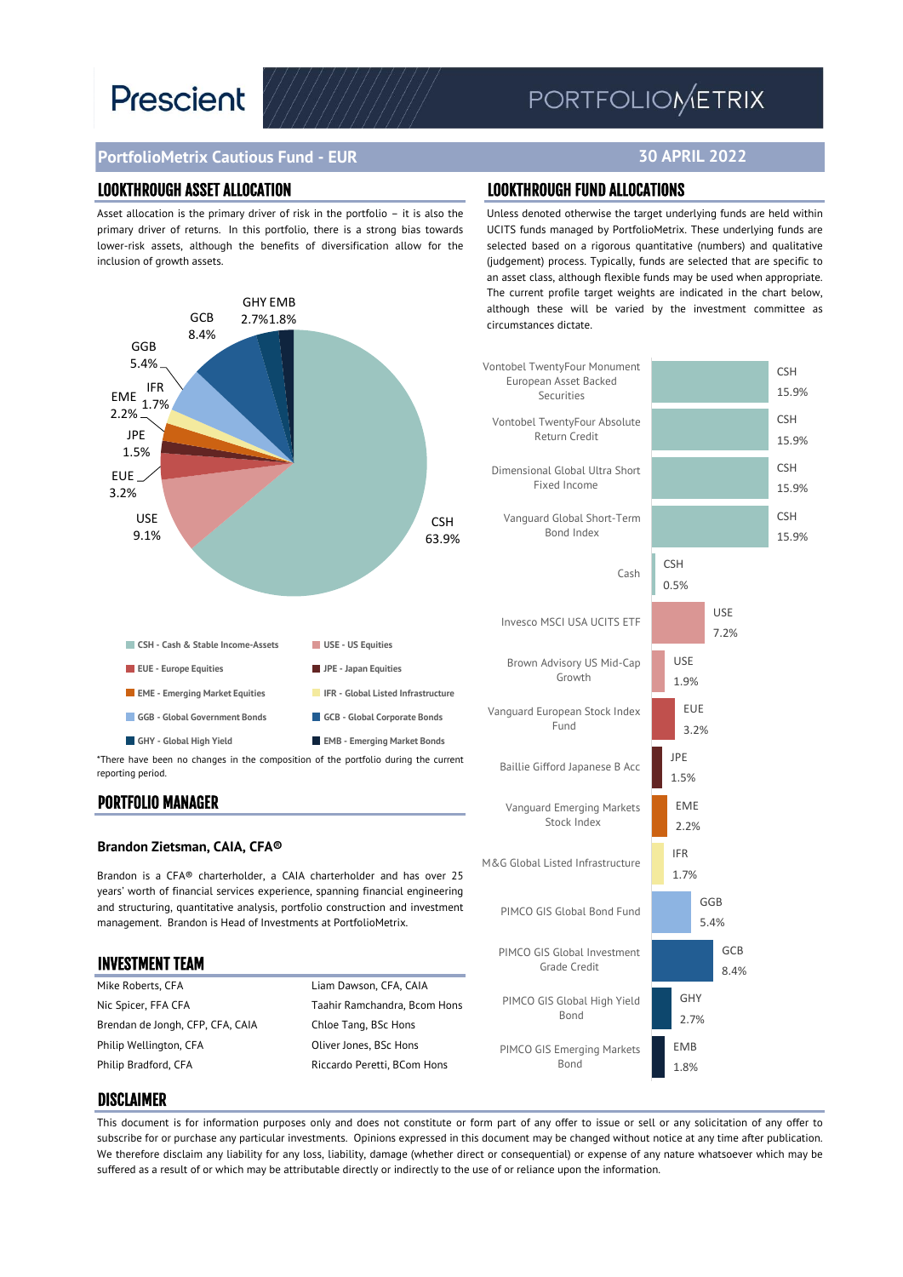# **Prescient**

## PORTFOLIOMETRIX

**30 APRIL 2022**

### **PortfolioMetrix Cautious Fund - EUR**

#### LOOKTHROUGH ASSET ALLOCATION LOOKTHROUGH FUND ALLOCATIONS

Asset allocation is the primary driver of risk in the portfolio – it is also the primary driver of returns. In this portfolio, there is a strong bias towards lower-risk assets, although the benefits of diversification allow for the inclusion of growth assets.



reporting period.

#### PORTFOLIO MANAGER

#### **Brandon Zietsman, CAIA, CFA®**

Brandon is a CFA® charterholder, a CAIA charterholder and has over 25 years' worth of financial services experience, spanning financial engineering and structuring, quantitative analysis, portfolio construction and investment management. Brandon is Head of Investments at PortfolioMetrix.

| Liam Dawson, CFA, CAIA       |
|------------------------------|
| Taahir Ramchandra, Bcom Hons |
| Chloe Tang, BSc Hons         |
| Oliver Jones, BSc Hons       |
| Riccardo Peretti, BCom Hons  |
|                              |

Unless denoted otherwise the target underlying funds are held within UCITS funds managed by PortfolioMetrix. These underlying funds are selected based on a rigorous quantitative (numbers) and qualitative (judgement) process. Typically, funds are selected that are specific to an asset class, although flexible funds may be used when appropriate. The current profile target weights are indicated in the chart below, although these will be varied by the investment committee as circumstances dictate.



#### DISCLAIMER

This document is for information purposes only and does not constitute or form part of any offer to issue or sell or any solicitation of any offer to subscribe for or purchase any particular investments. Opinions expressed in this document may be changed without notice at any time after publication. We therefore disclaim any liability for any loss, liability, damage (whether direct or consequential) or expense of any nature whatsoever which may be suffered as a result of or which may be attributable directly or indirectly to the use of or reliance upon the information.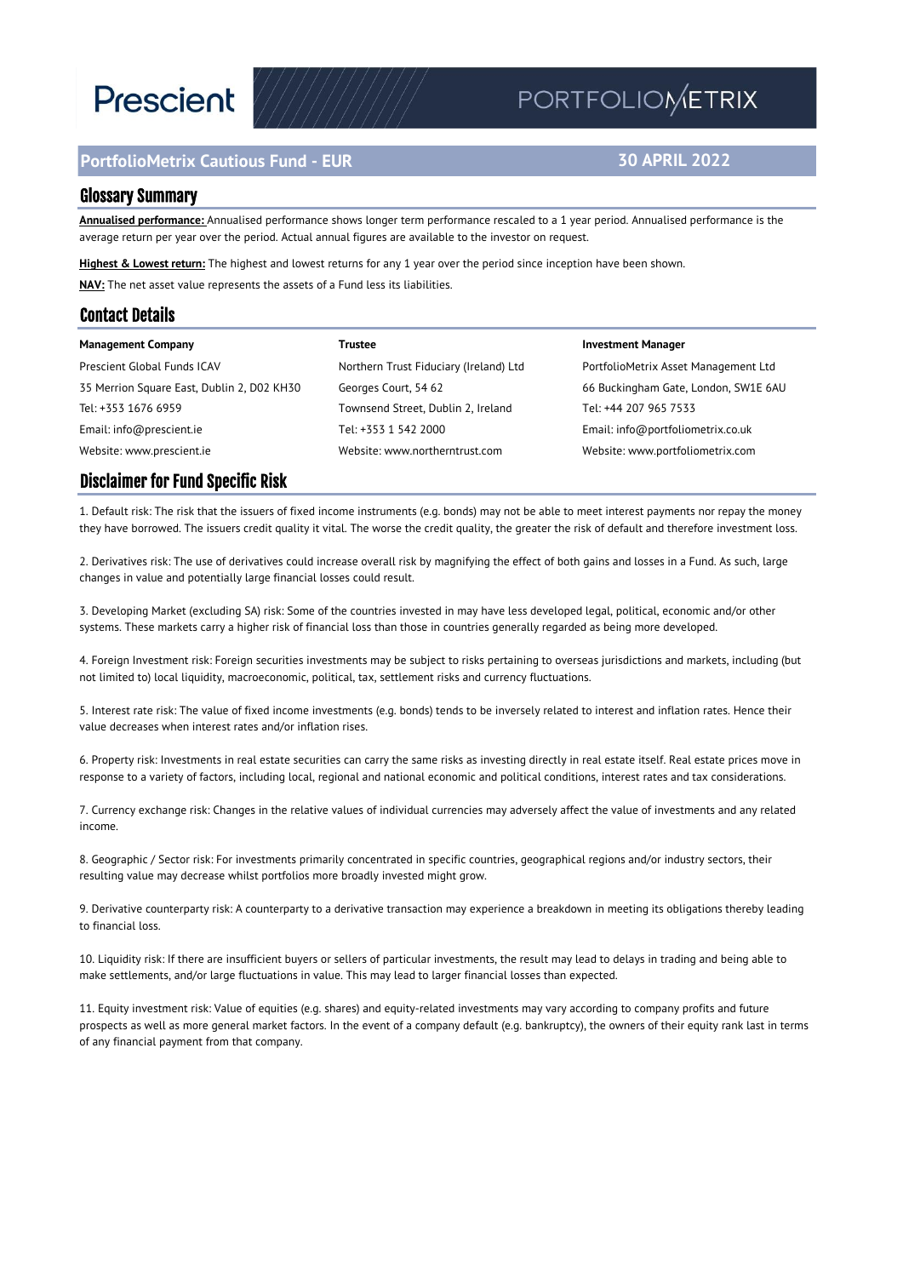# **Prescient**

### **PortfolioMetrix Cautious Fund - EUR**

## PORTFOLIOMETRIX

#### **30 APRIL 2022**

#### Glossary Summary

**Annualised performance:** Annualised performance shows longer term performance rescaled to a 1 year period. Annualised performance is the average return per year over the period. Actual annual figures are available to the investor on request.

**Highest & Lowest return:** The highest and lowest returns for any 1 year over the period since inception have been shown. **NAV:** The net asset value represents the assets of a Fund less its liabilities.

#### Contact Details

| <b>Management Company</b>                  | Trustee                                | <b>Investment Manager</b>            |
|--------------------------------------------|----------------------------------------|--------------------------------------|
| Prescient Global Funds ICAV                | Northern Trust Fiduciary (Ireland) Ltd | PortfolioMetrix Asset Management Ltd |
| 35 Merrion Square East, Dublin 2, D02 KH30 | Georges Court, 54 62                   | 66 Buckingham Gate, London, SW1E 6AU |
| Tel: +353 1676 6959                        | Townsend Street, Dublin 2, Ireland     | Tel: +44 207 965 7533                |
| Email: info@prescient.ie                   | Tel: +353 1 542 2000                   | Email: info@portfoliometrix.co.uk    |
| Website: www.prescient.ie                  | Website: www.northerntrust.com         | Website: www.portfoliometrix.com     |

#### Disclaimer for Fund Specific Risk

1. Default risk: The risk that the issuers of fixed income instruments (e.g. bonds) may not be able to meet interest payments nor repay the money they have borrowed. The issuers credit quality it vital. The worse the credit quality, the greater the risk of default and therefore investment loss.

2. Derivatives risk: The use of derivatives could increase overall risk by magnifying the effect of both gains and losses in a Fund. As such, large changes in value and potentially large financial losses could result.

3. Developing Market (excluding SA) risk: Some of the countries invested in may have less developed legal, political, economic and/or other systems. These markets carry a higher risk of financial loss than those in countries generally regarded as being more developed.

4. Foreign Investment risk: Foreign securities investments may be subject to risks pertaining to overseas jurisdictions and markets, including (but not limited to) local liquidity, macroeconomic, political, tax, settlement risks and currency fluctuations.

5. Interest rate risk: The value of fixed income investments (e.g. bonds) tends to be inversely related to interest and inflation rates. Hence their value decreases when interest rates and/or inflation rises.

6. Property risk: Investments in real estate securities can carry the same risks as investing directly in real estate itself. Real estate prices move in response to a variety of factors, including local, regional and national economic and political conditions, interest rates and tax considerations.

7. Currency exchange risk: Changes in the relative values of individual currencies may adversely affect the value of investments and any related income.

8. Geographic / Sector risk: For investments primarily concentrated in specific countries, geographical regions and/or industry sectors, their resulting value may decrease whilst portfolios more broadly invested might grow.

9. Derivative counterparty risk: A counterparty to a derivative transaction may experience a breakdown in meeting its obligations thereby leading to financial loss.

10. Liquidity risk: If there are insufficient buyers or sellers of particular investments, the result may lead to delays in trading and being able to make settlements, and/or large fluctuations in value. This may lead to larger financial losses than expected.

11. Equity investment risk: Value of equities (e.g. shares) and equity-related investments may vary according to company profits and future prospects as well as more general market factors. In the event of a company default (e.g. bankruptcy), the owners of their equity rank last in terms of any financial payment from that company.